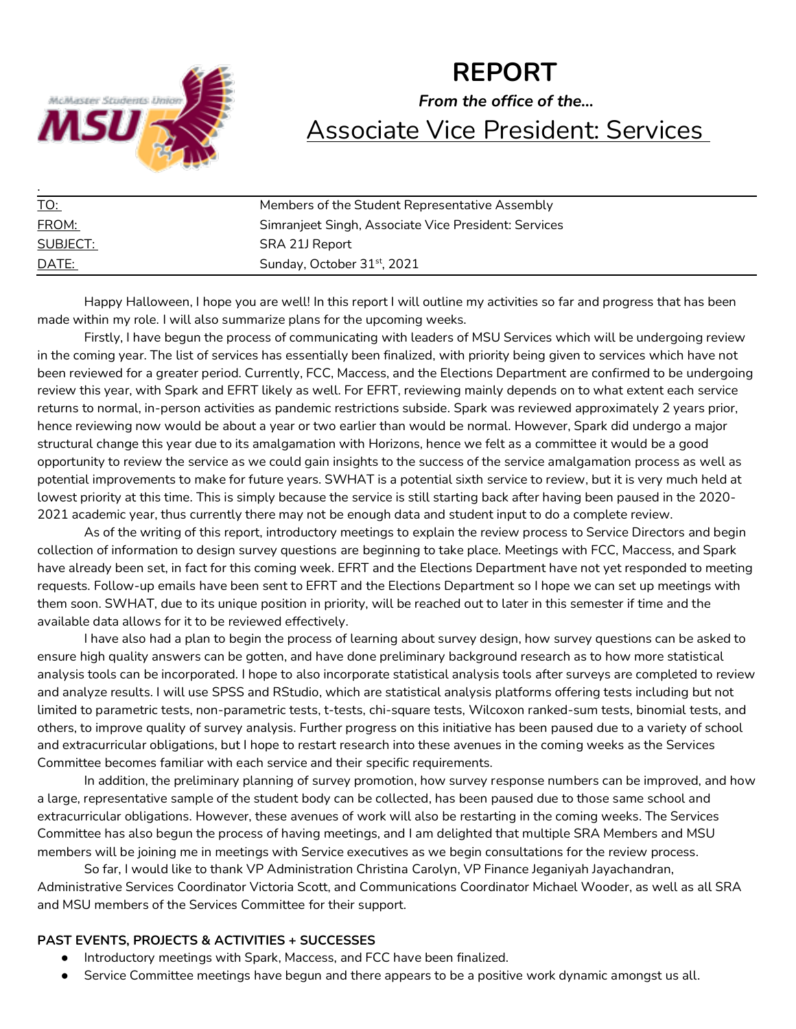

# **REPORT** *From the office of the…* Associate Vice President: Services

| <u>TO:</u> | Members of the Student Representative Assembly       |  |
|------------|------------------------------------------------------|--|
| FROM:      | Simranjeet Singh, Associate Vice President: Services |  |
| SUBJECT:   | SRA 21J Report                                       |  |
| DATE:      | Sunday, October 31 <sup>st</sup> , 2021              |  |

Happy Halloween, I hope you are well! In this report I will outline my activities so far and progress that has been made within my role. I will also summarize plans for the upcoming weeks.

Firstly, I have begun the process of communicating with leaders of MSU Services which will be undergoing review in the coming year. The list of services has essentially been finalized, with priority being given to services which have not been reviewed for a greater period. Currently, FCC, Maccess, and the Elections Department are confirmed to be undergoing review this year, with Spark and EFRT likely as well. For EFRT, reviewing mainly depends on to what extent each service returns to normal, in-person activities as pandemic restrictions subside. Spark was reviewed approximately 2 years prior, hence reviewing now would be about a year or two earlier than would be normal. However, Spark did undergo a major structural change this year due to its amalgamation with Horizons, hence we felt as a committee it would be a good opportunity to review the service as we could gain insights to the success of the service amalgamation process as well as potential improvements to make for future years. SWHAT is a potential sixth service to review, but it is very much held at lowest priority at this time. This is simply because the service is still starting back after having been paused in the 2020- 2021 academic year, thus currently there may not be enough data and student input to do a complete review.

As of the writing of this report, introductory meetings to explain the review process to Service Directors and begin collection of information to design survey questions are beginning to take place. Meetings with FCC, Maccess, and Spark have already been set, in fact for this coming week. EFRT and the Elections Department have not yet responded to meeting requests. Follow-up emails have been sent to EFRT and the Elections Department so I hope we can set up meetings with them soon. SWHAT, due to its unique position in priority, will be reached out to later in this semester if time and the available data allows for it to be reviewed effectively.

I have also had a plan to begin the process of learning about survey design, how survey questions can be asked to ensure high quality answers can be gotten, and have done preliminary background research as to how more statistical analysis tools can be incorporated. I hope to also incorporate statistical analysis tools after surveys are completed to review and analyze results. I will use SPSS and RStudio, which are statistical analysis platforms offering tests including but not limited to parametric tests, non-parametric tests, t-tests, chi-square tests, Wilcoxon ranked-sum tests, binomial tests, and others, to improve quality of survey analysis. Further progress on this initiative has been paused due to a variety of school and extracurricular obligations, but I hope to restart research into these avenues in the coming weeks as the Services Committee becomes familiar with each service and their specific requirements.

In addition, the preliminary planning of survey promotion, how survey response numbers can be improved, and how a large, representative sample of the student body can be collected, has been paused due to those same school and extracurricular obligations. However, these avenues of work will also be restarting in the coming weeks. The Services Committee has also begun the process of having meetings, and I am delighted that multiple SRA Members and MSU members will be joining me in meetings with Service executives as we begin consultations for the review process.

So far, I would like to thank VP Administration Christina Carolyn, VP Finance Jeganiyah Jayachandran, Administrative Services Coordinator Victoria Scott, and Communications Coordinator Michael Wooder, as well as all SRA and MSU members of the Services Committee for their support.

#### **PAST EVENTS, PROJECTS & ACTIVITIES + SUCCESSES**

- Introductory meetings with Spark, Maccess, and FCC have been finalized.
- Service Committee meetings have begun and there appears to be a positive work dynamic amongst us all.